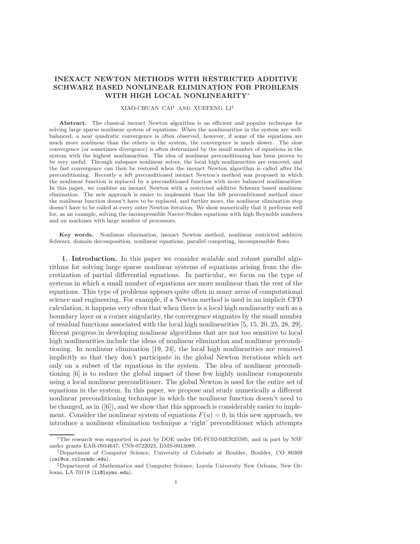### INEXACT NEWTON METHODS WITH RESTRICTED ADDITIVE SCHWARZ BASED NONLINEAR ELIMINATION FOR PROBLEMS WITH HIGH LOCAL NONLINEARITY\*

### XIAO-CHUAN CAI† AND XUEFENG LI‡

Abstract. The classical inexact Newton algorithm is an efficient and popular technique for solving large sparse nonlinear system of equations. When the nonlinearities in the system are wellbalanced, a near quadratic convergence is often observed, however, if some of the equations are much more nonlinear than the others in the system, the convergence is much slower. The slow convergence (or sometimes divergence) is often determined by the small number of equations in the system with the highest nonlinearities. The idea of nonlinear preconditioning has been proven to be very useful. Through subspace nonlinear solves, the local high nonlinearities are removed, and the fast convergence can then be restored when the inexact Newton algorithm is called after the preconditioning. Recently a left preconditioned inexact Newton's method was proposed in which the nonlinear function is replaced by a preconditioned function with more balanced nonlinearities. In this paper, we combine an inexact Newton with a restricted additive Schwarz based nonlinear elimination. The new approach is easier to implement than the left preconditioned method since the nonlinear function doesn't have to be replaced, and further more, the nonlinear elimination step doesn't have to be called at every outer Newton iteration. We show numerically that it performs well for, as an example, solving the incompressible Navier-Stokes equations with high Reynolds numbers and on machines with large number of processors.

Key words. Nonlinear elimination, inexact Newton method, nonlinear restricted additive Schwarz, domain decomposition, nonlinear equations, parallel computing, incompressible flows

1. Introduction. In this paper we consider scalable and robust parallel algorithms for solving large sparse nonlinear systems of equations arising from the discretization of partial differential equations. In particular, we focus on the type of systems in which a small number of equations are more nonlinear than the rest of the equations. This type of problems appears quite often in many areas of computational science and engineering. For example, if a Newton method is used in an implicit CFD calculation, it happens very often that when there is a local high nonlinearity such as a boundary layer or a corner singularity, the convergence stagnates by the small number of residual functions associated with the local high nonlinearities [5, 15, 20, 25, 28, 29]. Recent progress in developing nonlinear algorithms that are not too sensitive to local high nonlinearities include the ideas of nonlinear elimination and nonlinear preconditioning. In nonlinear elimination [19, 24], the local high nonlinearities are removed implicitly so that they don't participate in the global Newton iterations which act only on a subset of the equations in the system. The idea of nonlinear preconditioning [6] is to reduce the global impact of these few highly nonlinear components using a local nonlinear preconditioner. The global Newton is used for the entire set of equations in the system. In this paper, we propose and study numerically a different nonlinear preconditioning technique in which the nonlinear function doesn't need to be changed, as in  $([6])$ , and we show that this approach is considerably easier to implement. Consider the nonlinear system of equations  $F(u) = 0$ , in this new approach, we introduce a nonlinear elimination technique a 'right' preconditioner which attempts

<sup>∗</sup>The research was supported in part by DOE under DE-FC02-04ER25595, and in part by NSF under grants EAR-0934647, CNS-0722023, DMS-0913089.

<sup>†</sup>Department of Computer Science, University of Colorado at Boulder, Boulder, CO 80309 (cai@cs.colorado.edu).

<sup>‡</sup>Department of Mathematics and Computer Science, Loyola University New Orleans, New Orleans, LA 70118 (li@loyno.edu).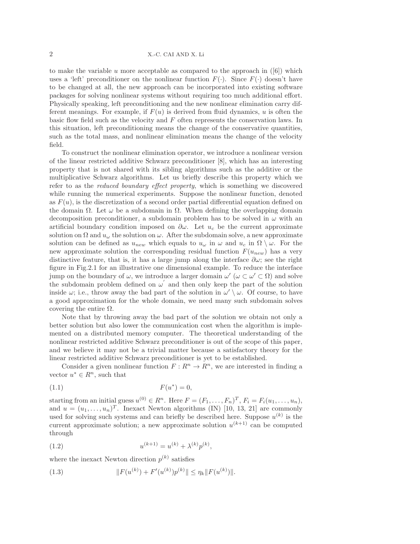to make the variable u more acceptable as compared to the approach in  $([6])$  which uses a 'left' preconditioner on the nonlinear function  $F(\cdot)$ . Since  $F(\cdot)$  doesn't have to be changed at all, the new approach can be incorporated into existing software packages for solving nonlinear systems without requiring too much additional effort. Physically speaking, left preconditioning and the new nonlinear elimination carry different meanings. For example, if  $F(u)$  is derived from fluid dynamics, u is often the basic flow field such as the velocity and  $F$  often represents the conservation laws. In this situation, left preconditioning means the change of the conservative quantities, such as the total mass, and nonlinear elimination means the change of the velocity field.

To construct the nonlinear elimination operator, we introduce a nonlinear version of the linear restricted additive Schwarz preconditioner [8], which has an interesting property that is not shared with its sibling algorithms such as the additive or the multiplicative Schwarz algorithms. Let us briefly describe this property which we refer to as the *reduced boundary effect property*, which is something we discovered while running the numerical experiments. Suppose the nonlinear function, denoted as  $F(u)$ , is the discretization of a second order partial differential equation defined on the domain  $\Omega$ . Let  $\omega$  be a subdomain in  $\Omega$ . When defining the overlapping domain decomposition preconditioner, a subdomain problem has to be solved in  $\omega$  with an artificial boundary condition imposed on  $\partial \omega$ . Let  $u_c$  be the current approximate solution on  $\Omega$  and  $u_{\omega}$  the solution on  $\omega$ . After the subdomain solve, a new approximate solution can be defined as  $u_{new}$  which equals to  $u_{\omega}$  in  $\omega$  and  $u_c$  in  $\Omega \setminus \omega$ . For the new approximate solution the corresponding residual function  $F(u_{new})$  has a very distinctive feature, that is, it has a large jump along the interface  $\partial \omega$ ; see the right figure in Fig.2.1 for an illustrative one dimensional example. To reduce the interface jump on the boundary of  $\omega$ , we introduce a larger domain  $\omega'$  ( $\omega \subset \omega' \subset \Omega$ ) and solve the subdomain problem defined on  $\omega'$  and then only keep the part of the solution inside  $\omega$ ; i.e., throw away the bad part of the solution in  $\omega' \setminus \omega$ . Of course, to have a good approximation for the whole domain, we need many such subdomain solves covering the entire  $\Omega$ .

Note that by throwing away the bad part of the solution we obtain not only a better solution but also lower the communication cost when the algorithm is implemented on a distributed memory computer. The theoretical understanding of the nonlinear restricted additive Schwarz preconditioner is out of the scope of this paper, and we believe it may not be a trivial matter because a satisfactory theory for the linear restricted additive Schwarz preconditioner is yet to be established.

Consider a given nonlinear function  $F: \mathbb{R}^n \to \mathbb{R}^n$ , we are interested in finding a vector  $u^* \in R^n$ , such that

$$
F(u^*) = 0,
$$

starting from an initial guess  $u^{(0)} \in R^n$ . Here  $F = (F_1, \ldots, F_n)^T$ ,  $F_i = F_i(u_1, \ldots, u_n)$ , and  $u = (u_1, \ldots, u_n)^T$ . Inexact Newton algorithms (IN) [10, 13, 21] are commonly used for solving such systems and can briefly be described here. Suppose  $u^{(k)}$  is the current approximate solution; a new approximate solution  $u^{(k+1)}$  can be computed through

(1.2) 
$$
u^{(k+1)} = u^{(k)} + \lambda^{(k)} p^{(k)},
$$

where the inexact Newton direction  $p^{(k)}$  satisfies

(1.3) 
$$
||F(u^{(k)}) + F'(u^{(k)})p^{(k)}|| \leq \eta_k ||F(u^{(k)})||.
$$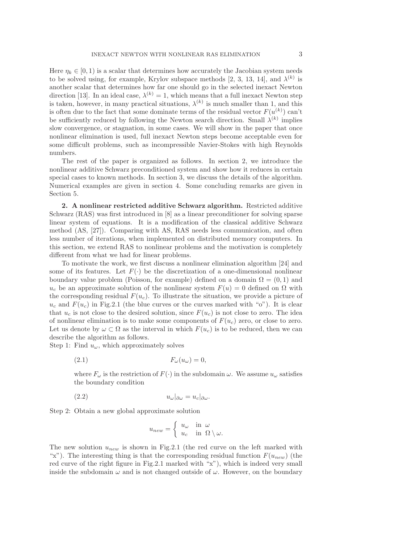Here  $\eta_k \in [0, 1)$  is a scalar that determines how accurately the Jacobian system needs to be solved using, for example, Krylov subspace methods [2, 3, 13, 14], and  $\lambda^{(k)}$  is another scalar that determines how far one should go in the selected inexact Newton direction [13]. In an ideal case,  $\lambda^{(k)} = 1$ , which means that a full inexact Newton step is taken, however, in many practical situations,  $\lambda^{(k)}$  is much smaller than 1, and this is often due to the fact that some dominate terms of the residual vector  $F(u^{(k)})$  can't be sufficiently reduced by following the Newton search direction. Small  $\lambda^{(k)}$  implies slow convergence, or stagnation, in some cases. We will show in the paper that once nonlinear elimination is used, full inexact Newton steps become acceptable even for some difficult problems, such as incompressible Navier-Stokes with high Reynolds numbers.

The rest of the paper is organized as follows. In section 2, we introduce the nonlinear additive Schwarz preconditioned system and show how it reduces in certain special cases to known methods. In section 3, we discuss the details of the algorithm. Numerical examples are given in section 4. Some concluding remarks are given in Section 5.

2. A nonlinear restricted additive Schwarz algorithm. Restricted additive Schwarz (RAS) was first introduced in [8] as a linear preconditioner for solving sparse linear system of equations. It is a modification of the classical additive Schwarz method (AS, [27]). Comparing with AS, RAS needs less communication, and often less number of iterations, when implemented on distributed memory computers. In this section, we extend RAS to nonlinear problems and the motivation is completely different from what we had for linear problems.

To motivate the work, we first discuss a nonlinear elimination algorithm [24] and some of its features. Let  $F(\cdot)$  be the discretization of a one-dimensional nonlinear boundary value problem (Poisson, for example) defined on a domain  $\Omega = (0, 1)$  and  $u_c$  be an approximate solution of the nonlinear system  $F(u) = 0$  defined on  $\Omega$  with the corresponding residual  $F(u_c)$ . To illustrate the situation, we provide a picture of  $u_c$  and  $F(u_c)$  in Fig.2.1 (the blue curves or the curves marked with "o"). It is clear that  $u_c$  is not close to the desired solution, since  $F(u_c)$  is not close to zero. The idea of nonlinear elimination is to make some components of  $F(u_c)$  zero, or close to zero. Let us denote by  $\omega \subset \Omega$  as the interval in which  $F(u_c)$  is to be reduced, then we can describe the algorithm as follows.

Step 1: Find  $u_{\omega}$ , which approximately solves

$$
(2.1) \t\t F_{\omega}(u_{\omega}) = 0,
$$

where  $F_{\omega}$  is the restriction of  $F(\cdot)$  in the subdomain  $\omega$ . We assume  $u_{\omega}$  satisfies the boundary condition

$$
(2.2) \t\t\t u_{\omega}|_{\partial \omega} = u_c|_{\partial \omega}.
$$

Step 2: Obtain a new global approximate solution

$$
u_{new} = \begin{cases} u_{\omega} & \text{in } \omega \\ u_c & \text{in } \Omega \setminus \omega. \end{cases}
$$

The new solution  $u_{new}$  is shown in Fig. 2.1 (the red curve on the left marked with "x"). The interesting thing is that the corresponding residual function  $F(u_{new})$  (the red curve of the right figure in Fig.2.1 marked with "x"), which is indeed very small inside the subdomain  $\omega$  and is not changed outside of  $\omega$ . However, on the boundary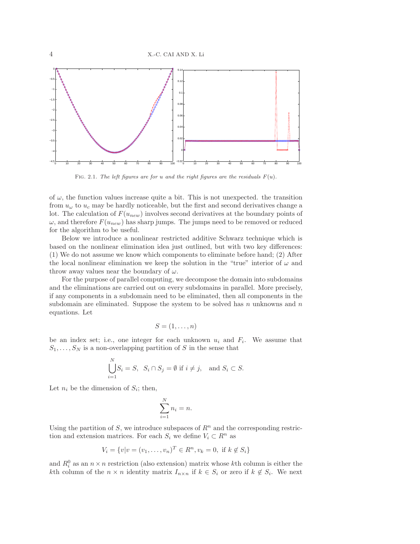

FIG. 2.1. *The left figures are for* u and the right figures are the residuals  $F(u)$ .

of  $\omega$ , the function values increase quite a bit. This is not unexpected, the transition from  $u_{\omega}$  to  $u_c$  may be hardly noticeable, but the first and second derivatives change a lot. The calculation of  $F(u_{new})$  involves second derivatives at the boundary points of  $\omega$ , and therefore  $F(u_{new})$  has sharp jumps. The jumps need to be removed or reduced for the algorithm to be useful.

Below we introduce a nonlinear restricted additive Schwarz technique which is based on the nonlinear elimination idea just outlined, but with two key differences: (1) We do not assume we know which components to eliminate before hand; (2) After the local nonlinear elimination we keep the solution in the "true" interior of  $\omega$  and throw away values near the boundary of  $\omega$ .

For the purpose of parallel computing, we decompose the domain into subdomains and the eliminations are carried out on every subdomains in parallel. More precisely, if any components in a subdomain need to be eliminated, then all components in the subdomain are eliminated. Suppose the system to be solved has n unknowns and n equations. Let

$$
S = (1, \ldots, n)
$$

be an index set; i.e., one integer for each unknown  $u_i$  and  $F_i$ . We assume that  $S_1, \ldots, S_N$  is a non-overlapping partition of S in the sense that

$$
\bigcup_{i=1}^{N} S_i = S, \ \ S_i \cap S_j = \emptyset \text{ if } i \neq j, \text{ and } S_i \subset S.
$$

Let  $n_i$  be the dimension of  $S_i$ ; then,

$$
\sum_{i=1}^{N} n_i = n.
$$

Using the partition of S, we introduce subspaces of  $R^n$  and the corresponding restriction and extension matrices. For each  $S_i$  we define  $V_i \subset R^n$  as

$$
V_i = \{v | v = (v_1, \dots, v_n)^T \in R^n, v_k = 0, \text{ if } k \notin S_i\}
$$

and  $R_i^0$  as an  $n \times n$  restriction (also extension) matrix whose kth column is either the kth column of the  $n \times n$  identity matrix  $I_{n \times n}$  if  $k \in S_i$  or zero if  $k \notin S_i$ . We next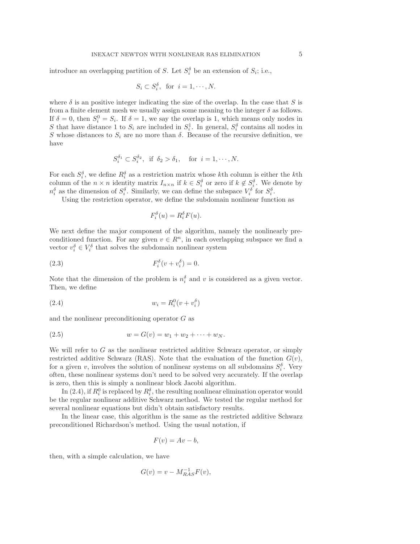introduce an overlapping partition of S. Let  $S_i^{\delta}$  be an extension of  $S_i$ ; i.e.,

$$
S_i \subset S_i^{\delta}, \text{ for } i = 1, \cdots, N.
$$

where  $\delta$  is an positive integer indicating the size of the overlap. In the case that S is from a finite element mesh we usually assign some meaning to the integer  $\delta$  as follows. If  $\delta = 0$ , then  $S_i^0 = S_i$ . If  $\delta = 1$ , we say the overlap is 1, which means only nodes in S that have distance 1 to  $S_i$  are included in  $S_i^1$ . In general,  $S_i^{\delta}$  contains all nodes in S whose distances to  $S_i$  are no more than  $\delta$ . Because of the recursive definition, we have

$$
S_i^{\delta_1} \subset S_i^{\delta_2}
$$
, if  $\delta_2 > \delta_1$ , for  $i = 1, \dots, N$ .

For each  $S_i^{\delta}$ , we define  $R_i^{\delta}$  as a restriction matrix whose kth column is either the kth column of the  $n \times n$  identity matrix  $I_{n \times n}$  if  $k \in S_i^{\delta}$  or zero if  $k \notin S_i^{\delta}$ . We denote by  $n_i^{\delta}$  as the dimension of  $S_i^{\delta}$ . Similarly, we can define the subspace  $V_i^{\delta}$  for  $S_i^{\delta}$ .

Using the restriction operator, we define the subdomain nonlinear function as

$$
F_i^{\delta}(u) = R_i^{\delta} F(u).
$$

We next define the major component of the algorithm, namely the nonlinearly preconditioned function. For any given  $v \in R<sup>n</sup>$ , in each overlapping subspace we find a vector  $v_i^{\delta} \in V_i^{\delta}$  that solves the subdomain nonlinear system

(2.3) 
$$
F_i^{\delta}(v + v_i^{\delta}) = 0.
$$

Note that the dimension of the problem is  $n_i^{\delta}$  and v is considered as a given vector. Then, we define

$$
(2.4) \t\t w_i = R_i^0(v + v_i^{\delta})
$$

and the nonlinear preconditioning operator G as

(2.5) 
$$
w = G(v) = w_1 + w_2 + \cdots + w_N.
$$

We will refer to  $G$  as the nonlinear restricted additive Schwarz operator, or simply restricted additive Schwarz (RAS). Note that the evaluation of the function  $G(v)$ , for a given v, involves the solution of nonlinear systems on all subdomains  $S_i^{\delta}$ . Very often, these nonlinear systems don't need to be solved very accurately. If the overlap is zero, then this is simply a nonlinear block Jacobi algorithm.

In (2.4), if  $R_i^0$  is replaced by  $R_i^{\delta}$ , the resulting nonlinear elimination operator would be the regular nonlinear additive Schwarz method. We tested the regular method for several nonlinear equations but didn't obtain satisfactory results.

In the linear case, this algorithm is the same as the restricted additive Schwarz preconditioned Richardson's method. Using the usual notation, if

$$
F(v) = Av - b,
$$

then, with a simple calculation, we have

$$
G(v) = v - M_{RAS}^{-1} F(v),
$$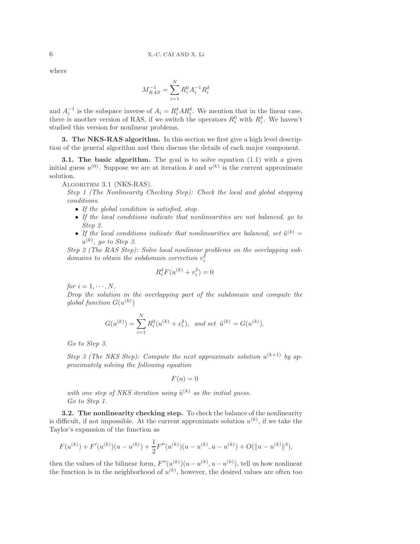where

$$
M_{RAS}^{-1} = \sum_{i=1}^{N} R_i^0 A_i^{-1} R_i^{\delta}
$$

and  $A_i^{-1}$  is the subspace inverse of  $A_i = R_i^{\delta} A R_i^{\delta}$ . We mention that in the linear case, there is another version of RAS, if we switch the operators  $R_i^0$  with  $R_i^{\delta}$ . We haven't studied this version for nonlinear problems.

3. The NKS-RAS algorithm. In this section we first give a high level description of the general algorithm and then discuss the details of each major component.

**3.1.** The basic algorithm. The goal is to solve equation (1.1) with a given initial guess  $u^{(0)}$ . Suppose we are at iteration k and  $u^{(k)}$  is the current approximate solution.

ALGORITHM 3.1 (NKS-RAS).

*Step 1 (The Nonlinearity Checking Step): Check the local and global stopping conditions.*

- *If the global condition is satisfied, stop.*
- *If the local conditions indicate that nonlinearities are not balanced, go to Step 2.*
- If the local conditions indicate that nonlinearities are balanced, set  $\tilde{u}^{(k)} =$ u (k) *, go to Step 3.*

*Step 2 (The RAS Step): Solve local nonlinear problems on the overlapping subdomains to obtain the subdomain correction*  $v_i^{\delta}$ 

$$
R_i^{\delta} F(u^{(k)} + v_i^{\delta}) = 0
$$

*for*  $i = 1, \dots, N$ *.* 

*Drop the solution in the overlapping part of the subdomain and compute the* global function  $G(u^{(k)})$ 

$$
G(u^{(k)}) = \sum_{i=1}^{N} R_i^0(u^{(k)} + v_i^{\delta}), \text{ and set } \tilde{u}^{(k)} = G(u^{(k)}).
$$

*Go to Step 3.*

*Step 3 (The NKS Step): Compute the next approximate solution*  $u^{(k+1)}$  *by approximately solving the following equation*

$$
F(u) = 0
$$

with one step of NKS iteration using  $\tilde{u}^{(k)}$  as the initial guess. *Go to Step 1.*

3.2. The nonlinearity checking step. To check the balance of the nonlinearity is difficult, if not impossible. At the current approximate solution  $u^{(k)}$ , if we take the Taylor's expansion of the function as

$$
F(u^{(k)}) + F'(u^{(k)})(u - u^{(k)}) + \frac{1}{2}F''(u^{(k)})(u - u^{(k)}, u - u^{(k)}) + O(||u - u^{(k)}||^3),
$$

then the values of the bilinear form,  $F''(u^{(k)})(u-u^{(k)}, u-u^{(k)})$ , tell us how nonlinear the function is in the neighborhood of  $u^{(k)}$ , however, the desired values are often too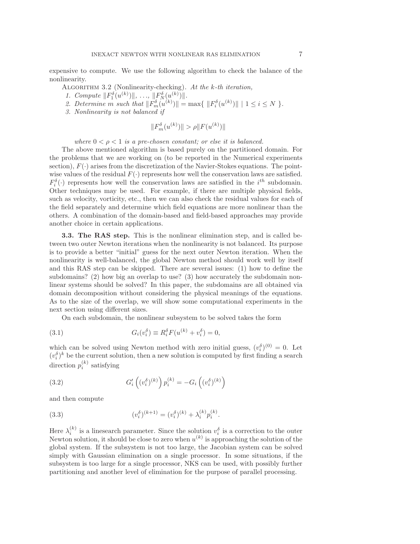expensive to compute. We use the following algorithm to check the balance of the nonlinearity.

- Algorithm 3.2 (Nonlinearity-checking). *At the* k*-th iteration,*
- *1. Compute*  $||F_1^{\delta}(u^{(k)})||, \ldots, ||F_N^{\delta}(u^{(k)})||.$
- 1. Compute  $||T_1(u^{\gamma})||$ , ...,  $||T_N(u^{\gamma})||$ .<br>
2. Determine m such that  $||F_m^{\delta}(u^{(k)})|| = \max{ {||F_i^{\delta}(u^{(k)})|| | 1 \le i \le N } }$ .
- *3. Nonlinearity is not balanced if*

$$
||F_m^{\delta}(u^{(k)})|| > \rho ||F(u^{(k)})||
$$

*where*  $0 < \rho < 1$  *is a pre-chosen constant; or else it is balanced.* 

The above mentioned algorithm is based purely on the partitioned domain. For the problems that we are working on (to be reported in the Numerical experiments section),  $F(\cdot)$  arises from the discretization of the Navier-Stokes equations. The pointwise values of the residual  $F(\cdot)$  represents how well the conservation laws are satisfied.  $F_i^{\delta}(\cdot)$  represents how well the conservation laws are satisfied in the *i*<sup>th</sup> subdomain. Other techniques may be used. For example, if there are multiple physical fields, such as velocity, vorticity, etc., then we can also check the residual values for each of the field separately and determine which field equations are more nonlinear than the others. A combination of the domain-based and field-based approaches may provide another choice in certain applications.

3.3. The RAS step. This is the nonlinear elimination step, and is called between two outer Newton iterations when the nonlinearity is not balanced. Its purpose is to provide a better "initial" guess for the next outer Newton iteration. When the nonlinearity is well-balanced, the global Newton method should work well by itself and this RAS step can be skipped. There are several issues: (1) how to define the subdomains? (2) how big an overlap to use? (3) how accurately the subdomain nonlinear systems should be solved? In this paper, the subdomains are all obtained via domain decomposition without considering the physical meanings of the equations. As to the size of the overlap, we will show some computational experiments in the next section using different sizes.

On each subdomain, the nonlinear subsystem to be solved takes the form

(3.1) 
$$
G_i(v_i^{\delta}) \equiv R_i^{\delta} F(u^{(k)} + v_i^{\delta}) = 0,
$$

which can be solved using Newton method with zero initial guess,  $(v_i^{\delta})^{(0)} = 0$ . Let  $(v_i^{\delta})^k$  be the current solution, then a new solution is computed by first finding a search direction  $p_i^{(k)}$  satisfying

(3.2) 
$$
G'_{i}\left((v_{i}^{\delta})^{(k)}\right)p_{i}^{(k)} = -G_{i}\left((v_{i}^{\delta})^{(k)}\right)
$$

and then compute

(3.3) 
$$
(v_i^{\delta})^{(k+1)} = (v_i^{\delta})^{(k)} + \lambda_i^{(k)} p_i^{(k)}.
$$

Here  $\lambda_i^{(k)}$  is a linesearch parameter. Since the solution  $v_i^{\delta}$  is a correction to the outer Newton solution, it should be close to zero when  $u^{(k)}$  is approaching the solution of the global system. If the subsystem is not too large, the Jacobian system can be solved simply with Gaussian elimination on a single processor. In some situations, if the subsystem is too large for a single processor, NKS can be used, with possibly further partitioning and another level of elimination for the purpose of parallel processing.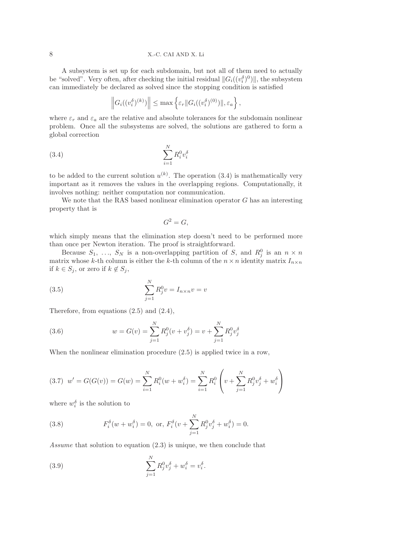A subsystem is set up for each subdomain, but not all of them need to actually be "solved". Very often, after checking the initial residual  $||G_i((v_i^{\delta})^0)||$ , the subsystem can immediately be declared as solved since the stopping condition is satisfied

$$
\left\| G_i((v_i^{\delta})^{(k)}) \right\| \leq \max \left\{ \varepsilon_r \| G_i((v_i^{\delta})^{(0)}) \|, \varepsilon_a \right\},\
$$

where  $\varepsilon_r$  and  $\varepsilon_a$  are the relative and absolute tolerances for the subdomain nonlinear problem. Once all the subsystems are solved, the solutions are gathered to form a global correction

(3.4) 
$$
\sum_{i=1}^{N} R_i^0 v_i^{\delta}
$$

to be added to the current solution  $u^{(k)}$ . The operation (3.4) is mathematically very important as it removes the values in the overlapping regions. Computationally, it involves nothing: neither computation nor communication.

We note that the RAS based nonlinear elimination operator  $G$  has an interesting property that is

$$
G^2 = G,
$$

which simply means that the elimination step doesn't need to be performed more than once per Newton iteration. The proof is straightforward.

Because  $S_1, \ldots, S_N$  is a non-overlapping partition of S, and  $R_j^0$  is an  $n \times n$ matrix whose k-th column is either the k-th column of the  $n \times n$  identity matrix  $I_{n \times n}$ if  $k \in S_j$ , or zero if  $k \notin S_j$ ,

(3.5) 
$$
\sum_{j=1}^{N} R_j^0 v = I_{n \times n} v = v
$$

Therefore, from equations (2.5) and (2.4),

(3.6) 
$$
w = G(v) = \sum_{j=1}^{N} R_j^0 (v + v_j^{\delta}) = v + \sum_{j=1}^{N} R_j^0 v_j^{\delta}
$$

When the nonlinear elimination procedure (2.5) is applied twice in a row,

$$
(3.7) \ \ w' = G(G(v)) = G(w) = \sum_{i=1}^{N} R_i^0(w + w_i^{\delta}) = \sum_{i=1}^{N} R_i^0 \left(v + \sum_{j=1}^{N} R_j^0 v_j^{\delta} + w_i^{\delta}\right)
$$

where  $w_i^{\delta}$  is the solution to

(3.8) 
$$
F_i^{\delta}(w+w_i^{\delta})=0, \text{ or, } F_i^{\delta}(v+\sum_{j=1}^N R_j^0 v_j^{\delta}+w_i^{\delta})=0.
$$

*Assume* that solution to equation (2.3) is unique, we then conclude that

(3.9) 
$$
\sum_{j=1}^{N} R_j^0 v_j^{\delta} + w_i^{\delta} = v_i^{\delta}.
$$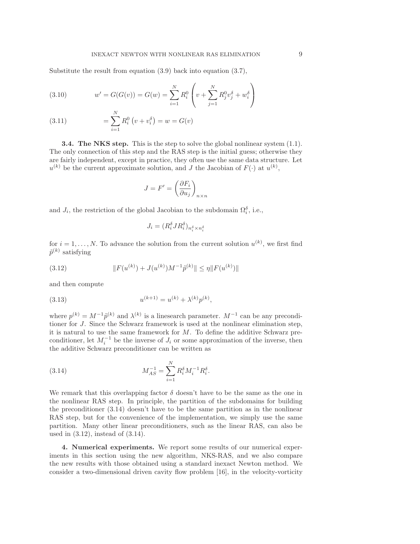Substitute the result from equation (3.9) back into equation (3.7),

(3.10) 
$$
w' = G(G(v)) = G(w) = \sum_{i=1}^{N} R_i^0 \left( v + \sum_{j=1}^{N} R_j^0 v_j^{\delta} + w_i^{\delta} \right)
$$

(3.11) 
$$
= \sum_{i=1}^{N} R_i^0 (v + v_i^{\delta}) = w = G(v)
$$

**3.4.** The NKS step. This is the step to solve the global nonlinear system (1.1). The only connection of this step and the RAS step is the initial guess; otherwise they are fairly independent, except in practice, they often use the same data structure. Let  $u^{(k)}$  be the current approximate solution, and J the Jacobian of  $F(\cdot)$  at  $u^{(k)}$ ,

$$
J = F' = \left(\frac{\partial F_i}{\partial u_j}\right)_{n \times n}
$$

and  $J_i$ , the restriction of the global Jacobian to the subdomain  $\Omega_i^{\delta}$ , i.e.,

$$
J_i = (R_i^{\delta} J R_i^{\delta})_{n_i^{\delta} \times n_i^{\delta}}
$$

for  $i = 1, \ldots, N$ . To advance the solution from the current solution  $u^{(k)}$ , we first find  $\tilde{p}^{(k)}$  satisfying

(3.12) 
$$
||F(u^{(k)}) + J(u^{(k)})M^{-1}\tilde{p}^{(k)}|| \leq \eta ||F(u^{(k)})||
$$

and then compute

(3.13) 
$$
u^{(k+1)} = u^{(k)} + \lambda^{(k)} p^{(k)},
$$

where  $p^{(k)} = M^{-1} \tilde{p}^{(k)}$  and  $\lambda^{(k)}$  is a linesearch parameter.  $M^{-1}$  can be any preconditioner for J. Since the Schwarz framework is used at the nonlinear elimination step, it is natural to use the same framework for M. To define the additive Schwarz preconditioner, let  $M_i^{-1}$  be the inverse of  $J_i$  or some approximation of the inverse, then the additive Schwarz preconditioner can be written as

(3.14) 
$$
M_{AS}^{-1} = \sum_{i=1}^{N} R_i^{\delta} M_i^{-1} R_i^{\delta}.
$$

We remark that this overlapping factor  $\delta$  doesn't have to be the same as the one in the nonlinear RAS step. In principle, the partition of the subdomains for building the preconditioner (3.14) doesn't have to be the same partition as in the nonlinear RAS step, but for the convenience of the implementation, we simply use the same partition. Many other linear preconditioners, such as the linear RAS, can also be used in (3.12), instead of (3.14).

4. Numerical experiments. We report some results of our numerical experiments in this section using the new algorithm, NKS-RAS, and we also compare the new results with those obtained using a standard inexact Newton method. We consider a two-dimensional driven cavity flow problem [16], in the velocity-vorticity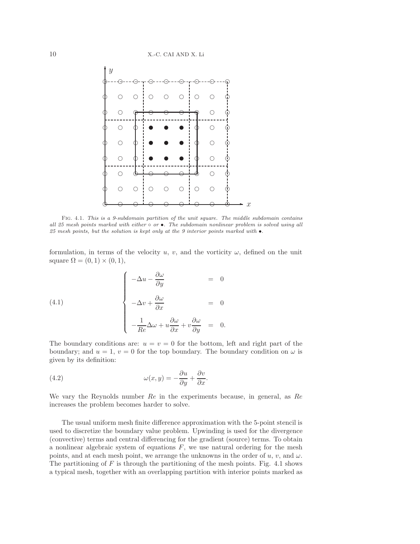

Fig. 4.1. *This is a 9-subdomain partition of the unit square. The middle subdomain contains all 25 mesh points marked with either* ◦ *or* •*. The subdomain nonlinear problem is solved using all 25 mesh points, but the solution is kept only at the 9 interior points marked with* •*.*

formulation, in terms of the velocity  $u, v$ , and the vorticity  $\omega$ , defined on the unit square  $\Omega = (0, 1) \times (0, 1),$ 

(4.1)  

$$
\begin{cases}\n-\Delta u - \frac{\partial \omega}{\partial y} &= 0 \\
-\Delta v + \frac{\partial \omega}{\partial x} &= 0 \\
-\frac{1}{Re}\Delta \omega + u \frac{\partial \omega}{\partial x} + v \frac{\partial \omega}{\partial y} &= 0.\n\end{cases}
$$

The boundary conditions are:  $u = v = 0$  for the bottom, left and right part of the boundary; and  $u = 1$ ,  $v = 0$  for the top boundary. The boundary condition on  $\omega$  is given by its definition:

(4.2) 
$$
\omega(x,y) = -\frac{\partial u}{\partial y} + \frac{\partial v}{\partial x}.
$$

We vary the Reynolds number  $Re$  in the experiments because, in general, as  $Re$ increases the problem becomes harder to solve.

The usual uniform mesh finite difference approximation with the 5-point stencil is used to discretize the boundary value problem. Upwinding is used for the divergence (convective) terms and central differencing for the gradient (source) terms. To obtain a nonlinear algebraic system of equations  $F$ , we use natural ordering for the mesh points, and at each mesh point, we arrange the unknowns in the order of  $u, v$ , and  $\omega$ . The partitioning of  $F$  is through the partitioning of the mesh points. Fig. 4.1 shows a typical mesh, together with an overlapping partition with interior points marked as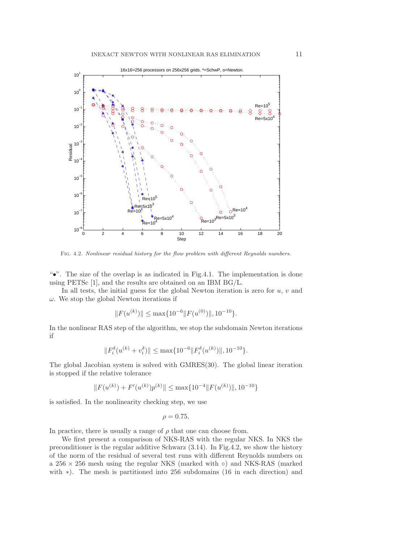

Fig. 4.2. *Nonlinear residual history for the flow problem with different Reynolds numbers.*

 $\bullet\bullet$ ". The size of the overlap is as indicated in Fig.4.1. The implementation is done using PETSc [1], and the results are obtained on an IBM BG/L.

In all tests, the initial guess for the global Newton iteration is zero for  $u, v$  and  $\omega$ . We stop the global Newton iterations if

$$
||F(u^{(k)})|| \le \max\{10^{-6}||F(u^{(0)})||, 10^{-10}\}.
$$

In the nonlinear RAS step of the algorithm, we stop the subdomain Newton iterations if

$$
\|F_i^\delta(u^{(k)}+v_i^\delta)\|\leq \max\{10^{-6}\|F_i^\delta(u^{(k)})\|,10^{-10}\}.
$$

The global Jacobian system is solved with GMRES(30). The global linear iteration is stopped if the relative tolerance

$$
||F(u^{(k)}) + F'(u^{(k)})p^{(k)}|| \le \max\{10^{-4}||F(u^{(k)})||, 10^{-10}\}
$$

is satisfied. In the nonlinearity checking step, we use

$$
\rho = 0.75.
$$

In practice, there is usually a range of  $\rho$  that one can choose from.

We first present a comparison of NKS-RAS with the regular NKS. In NKS the preconditioner is the regular additive Schwarz (3.14). In Fig.4.2, we show the history of the norm of the residual of several test runs with different Reynolds numbers on a  $256 \times 256$  mesh using the regular NKS (marked with  $\circ$ ) and NKS-RAS (marked with ∗). The mesh is partitioned into 256 subdomains (16 in each direction) and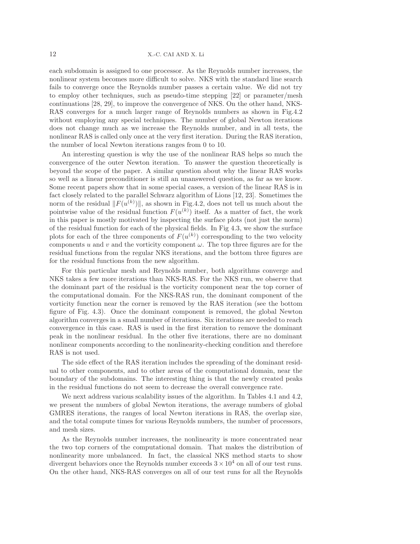each subdomain is assigned to one processor. As the Reynolds number increases, the nonlinear system becomes more difficult to solve. NKS with the standard line search fails to converge once the Reynolds number passes a certain value. We did not try to employ other techniques, such as pseudo-time stepping [22] or parameter/mesh continuations [28, 29], to improve the convergence of NKS. On the other hand, NKS-RAS converges for a much larger range of Reynolds numbers as shown in Fig.4.2 without employing any special techniques. The number of global Newton iterations does not change much as we increase the Reynolds number, and in all tests, the nonlinear RAS is called only once at the very first iteration. During the RAS iteration, the number of local Newton iterations ranges from 0 to 10.

An interesting question is why the use of the nonlinear RAS helps so much the convergence of the outer Newton iteration. To answer the question theoretically is beyond the scope of the paper. A similar question about why the linear RAS works so well as a linear preconditioner is still an unanswered question, as far as we know. Some recent papers show that in some special cases, a version of the linear RAS is in fact closely related to the parallel Schwarz algorithm of Lions [12, 23]. Sometimes the norm of the residual  $||F(u^{(k)})||$ , as shown in Fig.4.2, does not tell us much about the pointwise value of the residual function  $F(u^{(k)})$  itself. As a matter of fact, the work in this paper is mostly motivated by inspecting the surface plots (not just the norm) of the residual function for each of the physical fields. In Fig 4.3, we show the surface plots for each of the three components of  $F(u^{(k)})$  corresponding to the two velocity components u and v and the vorticity component  $\omega$ . The top three figures are for the residual functions from the regular NKS iterations, and the bottom three figures are for the residual functions from the new algorithm.

For this particular mesh and Reynolds number, both algorithms converge and NKS takes a few more iterations than NKS-RAS. For the NKS run, we observe that the dominant part of the residual is the vorticity component near the top corner of the computational domain. For the NKS-RAS run, the dominant component of the vorticity function near the corner is removed by the RAS iteration (see the bottom figure of Fig. 4.3). Once the dominant component is removed, the global Newton algorithm converges in a small number of iterations. Six iterations are needed to reach convergence in this case. RAS is used in the first iteration to remove the dominant peak in the nonlinear residual. In the other five iterations, there are no dominant nonlinear components according to the nonlinearity-checking condition and therefore RAS is not used.

The side effect of the RAS iteration includes the spreading of the dominant residual to other components, and to other areas of the computational domain, near the boundary of the subdomains. The interesting thing is that the newly created peaks in the residual functions do not seem to decrease the overall convergence rate.

We next address various scalability issues of the algorithm. In Tables 4.1 and 4.2, we present the numbers of global Newton iterations, the average numbers of global GMRES iterations, the ranges of local Newton iterations in RAS, the overlap size, and the total compute times for various Reynolds numbers, the number of processors, and mesh sizes.

As the Reynolds number increases, the nonlinearity is more concentrated near the two top corners of the computational domain. That makes the distribution of nonlinearity more unbalanced. In fact, the classical NKS method starts to show divergent behaviors once the Reynolds number exceeds  $3 \times 10^4$  on all of our test runs. On the other hand, NKS-RAS converges on all of our test runs for all the Reynolds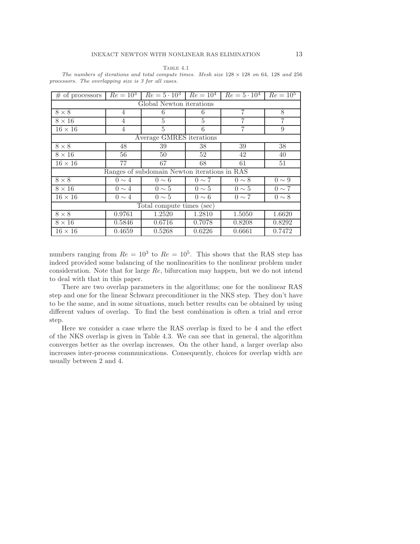| $#$ of processors                            | $Re = 10^3$ | $Re = 5 \cdot 10^3$ $Re = 10^4$ |            | $Re = 5 \cdot 10^4$ | $Re = 10^5$ |  |  |  |  |  |
|----------------------------------------------|-------------|---------------------------------|------------|---------------------|-------------|--|--|--|--|--|
| Global Newton iterations                     |             |                                 |            |                     |             |  |  |  |  |  |
| $8 \times 8$                                 | 4           | 6                               | 6          | 7                   | 8           |  |  |  |  |  |
| $8 \times 16$                                | 4           | 5                               | 5          |                     | 7           |  |  |  |  |  |
| $16 \times 16$                               | 4           | 5                               | 6          |                     | 9           |  |  |  |  |  |
| Average GMRES iterations                     |             |                                 |            |                     |             |  |  |  |  |  |
| $8 \times 8$                                 | 48          | 39                              | 38         | 39                  | 38          |  |  |  |  |  |
| $8 \times 16$                                | 56          | 50                              | 52         | 42                  | 40          |  |  |  |  |  |
| $16\times16$                                 | 77          | 67<br>68                        |            | 61                  | 51          |  |  |  |  |  |
| Ranges of subdomain Newton iterations in RAS |             |                                 |            |                     |             |  |  |  |  |  |
| $8 \times 8$                                 | $0 \sim 4$  | $0 \sim 6$                      | $0 \sim 7$ | $0 \sim 8$          | $0 \sim 9$  |  |  |  |  |  |
| $8 \times 16$                                | $0 \sim 4$  | $0 \sim 5$                      | $0 \sim 5$ | $0 \sim 5$          | $0 \sim 7$  |  |  |  |  |  |
| $16\times16$                                 | $0 \sim 4$  | $0 \sim 5$                      | $0 \sim 6$ | $0 \sim 7$          | $0 \sim 8$  |  |  |  |  |  |
| Total compute times (sec)                    |             |                                 |            |                     |             |  |  |  |  |  |
| $8 \times 8$                                 | 0.9761      | 1.2520                          | 1.2810     | 1.5050              | 1.6620      |  |  |  |  |  |
| $8 \times 16$                                | 0.5846      | 0.6716                          | 0.7078     | 0.8208              | 0.8292      |  |  |  |  |  |
| $16\times16$                                 | 0.4659      | 0.5268                          | 0.6226     | 0.6661              | 0.7472      |  |  |  |  |  |

TABLE  $4.1$ 

*The numbers of iterations and total compute times. Mesh size* 128 × 128 *on* 64*,* 128 *and* 256 *processors. The overlapping size is 3 for all cases.*

numbers ranging from  $Re = 10^3$  to  $Re = 10^5$ . This shows that the RAS step has indeed provided some balancing of the nonlinearities to the nonlinear problem under consideration. Note that for large Re, bifurcation may happen, but we do not intend to deal with that in this paper.

There are two overlap parameters in the algorithms; one for the nonlinear RAS step and one for the linear Schwarz preconditioner in the NKS step. They don't have to be the same, and in some situations, much better results can be obtained by using different values of overlap. To find the best combination is often a trial and error step.

Here we consider a case where the RAS overlap is fixed to be 4 and the effect of the NKS overlap is given in Table 4.3. We can see that in general, the algorithm converges better as the overlap increases. On the other hand, a larger overlap also increases inter-process communications. Consequently, choices for overlap width are usually between 2 and 4.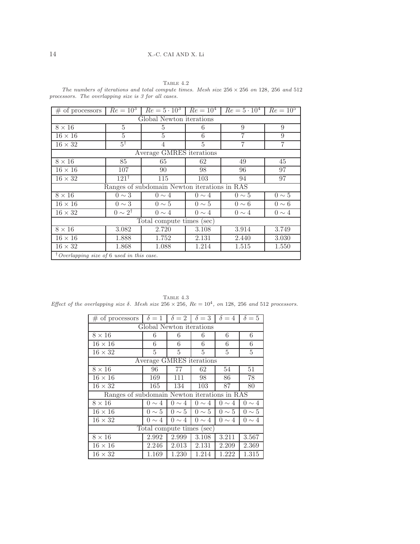| $\#$ of processors                                    | $Re = 10^3$              | $Re = 5 \cdot 10^3$   $Re = 10^4$ |            | $Re = 5 \cdot 10^4$ | $Re = 10^5$ |  |  |  |  |  |
|-------------------------------------------------------|--------------------------|-----------------------------------|------------|---------------------|-------------|--|--|--|--|--|
| Global Newton iterations                              |                          |                                   |            |                     |             |  |  |  |  |  |
| $8 \times 16$                                         | 5                        | 5                                 | 6          | 9                   | 9           |  |  |  |  |  |
| $16 \times 16$                                        | 5                        | 5                                 | 6          | $\overline{7}$      | 9           |  |  |  |  |  |
| $16 \times 32$                                        | $5^{\dagger}$            | 4                                 | 5          | 7                   | 7           |  |  |  |  |  |
|                                                       | Average GMRES iterations |                                   |            |                     |             |  |  |  |  |  |
| $8 \times 16$                                         | 85                       | 65                                | 62         | 49                  | 45          |  |  |  |  |  |
| $16 \times 16$                                        | 107                      | 90                                | 98         | 96                  | 97          |  |  |  |  |  |
| $16 \times 32$                                        | $121^{\dagger}$          | 115                               | 94<br>103  |                     | 97          |  |  |  |  |  |
| Ranges of subdomain Newton iterations in RAS          |                          |                                   |            |                     |             |  |  |  |  |  |
| $8 \times 16$                                         | $0 \sim 3$               | $0 \sim 4$<br>$0 \sim 4$          |            | $0 \sim 5$          | $0 \sim 5$  |  |  |  |  |  |
| $16 \times 16$                                        | $0 \sim 3$               | $0 \sim 5$                        | $0 \sim 5$ | $0 \sim 6$          | $0 \sim 6$  |  |  |  |  |  |
| $16 \times 32$                                        | $0 \sim 2^{\dagger}$     | $0 \sim 4$                        | $0 \sim 4$ | $0 \sim 4$          | $0 \sim 4$  |  |  |  |  |  |
| Total compute times (sec)                             |                          |                                   |            |                     |             |  |  |  |  |  |
| $8 \times 16$                                         | 3.082                    | 2.720                             | 3.108      | 3.914               | 3.749       |  |  |  |  |  |
| $16 \times 16$                                        | 1.888                    | 1.752<br>2.131                    |            | 2.440               | 3.030       |  |  |  |  |  |
| $16 \times 32$                                        | 1.868                    | 1.088                             | 1.214      | 1.515               | 1.550       |  |  |  |  |  |
| <sup>†</sup> Overlapping size of 6 used in this case. |                          |                                   |            |                     |             |  |  |  |  |  |

TABLE  $4.2\,$ *The numbers of iterations and total compute times. Mesh size* 256 × 256 *on* 128*,* 256 *and* 512 *processors. The overlapping size is 3 for all cases.*

TABLE  $4.3$ *Effect of the overlapping size*  $\delta$ *. Mesh size* 256  $\times$  256,  $Re = 10^4$ , on 128, 256 and 512 processors.

| $#$ of processors                            | $\delta=1$ | $\delta = 2$             | $\delta=3$ | $\delta = 4$ | $\delta = 5$ |  |  |  |
|----------------------------------------------|------------|--------------------------|------------|--------------|--------------|--|--|--|
| Global Newton iterations                     |            |                          |            |              |              |  |  |  |
| $8 \times 16$                                | 6          | 6                        | 6          | 6            | 6            |  |  |  |
| $16 \times 16$                               | 6          | 6                        | 6          | 6            | 6            |  |  |  |
| $16 \times 32$                               | 5          | 5                        | 5          | 5            | 5            |  |  |  |
|                                              |            | Average GMRES iterations |            |              |              |  |  |  |
| $8 \times 16$                                | 96         | 77                       | 62         | 54           | 51           |  |  |  |
| $16 \times 16$                               | 169        | 111                      | 98         | 86           | 78           |  |  |  |
| $16 \times 32$                               | 165        | 134                      | 103        | 87           | 80           |  |  |  |
| Ranges of subdomain Newton iterations in RAS |            |                          |            |              |              |  |  |  |
| $8 \times 16$                                | $0 \sim 4$ | $0 \sim 4$               | $0 \sim 4$ | $0 \sim 4$   | $0 \sim 4$   |  |  |  |
| $16 \times 16$                               | $0 \sim 5$ | $0 \sim 5$               | $0 \sim 5$ | $0 \sim 5$   | $0 \sim 5$   |  |  |  |
| $16 \times 32$                               | $0 \sim 4$ | $0 \sim 4$               | $0 \sim 4$ | $0 \sim 4$   | $0 \sim 4$   |  |  |  |
| Total compute times (sec)                    |            |                          |            |              |              |  |  |  |
| $8 \times 16$                                | 2.992      | 2.999                    | 3.108      | 3.211        | 3.567        |  |  |  |
| $16 \times 16$                               | 2.246      | 2.013                    | 2.131      | 2.209        | 2.369        |  |  |  |
| $16 \times 32$                               | 1.169      | 1.230                    | 1.214      | 1.222        | 1.315        |  |  |  |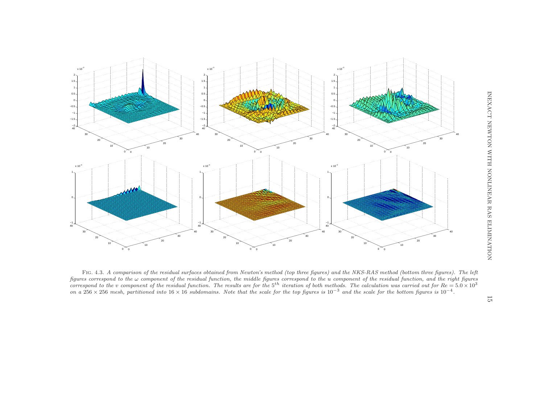

FIG. 4.3. A comparison of the residual surfaces obtained from Newton's method (top three figures) and the NKS-RAS method (bottom three figures). The left figures correspond to the  $\omega$  component of the residual function, the middle figures correspond to the u component of the residual function, and the right figures correspond to the v component of the residual function. The results are for the  $5^{th}$  iteration of both methods. The calculation was carried out for  $Re = 5.0 \times 10^3$ <br>cm s 256 x 256 mosk, portitioned into 16 x 16 subdensin on a  $256 \times 256$  mesh, partitioned into  $16 \times 16$  subdomains. Note that the scale for the top figures is  $10^{-3}$  and the scale for the bottom figures is  $10^{-4}$ .

INEXACT NEWTON WITH NONLINEAR RAS ELIMINATION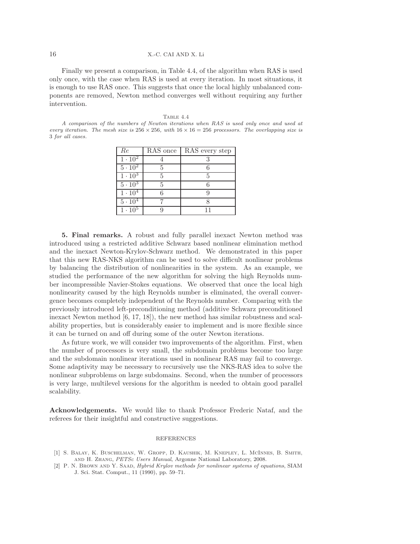Finally we present a comparison, in Table 4.4, of the algorithm when RAS is used only once, with the case when RAS is used at every iteration. In most situations, it is enough to use RAS once. This suggests that once the local highly unbalanced components are removed, Newton method converges well without requiring any further intervention.

|                                                                                                                    |  | TABLE 4.4 |  |  |  |  |
|--------------------------------------------------------------------------------------------------------------------|--|-----------|--|--|--|--|
| A comparison of the numbers of Newton iterations when RAS is used only once and used at                            |  |           |  |  |  |  |
| every iteration. The mesh size is $256 \times 256$ , with $16 \times 16 = 256$ processors. The overlapping size is |  |           |  |  |  |  |
| 3 for all cases.                                                                                                   |  |           |  |  |  |  |
|                                                                                                                    |  |           |  |  |  |  |

| Re                        | RAS once | RAS every step |
|---------------------------|----------|----------------|
| $1 \cdot 10^{2}$          |          |                |
| $5\cdot 10^2$             | 5        |                |
| $1 \cdot \overline{10^3}$ | 5        | 5              |
| $5 \cdot 10^3$            | 5        |                |
| $1\cdot 10^4$             |          |                |
| $5 \cdot 10^4$            |          |                |
| $1 \cdot 10^{5}$          |          |                |

5. Final remarks. A robust and fully parallel inexact Newton method was introduced using a restricted additive Schwarz based nonlinear elimination method and the inexact Newton-Krylov-Schwarz method. We demonstrated in this paper that this new RAS-NKS algorithm can be used to solve difficult nonlinear problems by balancing the distribution of nonlinearities in the system. As an example, we studied the performance of the new algorithm for solving the high Reynolds number incompressible Navier-Stokes equations. We observed that once the local high nonlinearity caused by the high Reynolds number is eliminated, the overall convergence becomes completely independent of the Reynolds number. Comparing with the previously introduced left-preconditioning method (additive Schwarz preconditioned inexact Newton method [6, 17, 18]), the new method has similar robustness and scalability properties, but is considerably easier to implement and is more flexible since it can be turned on and off during some of the outer Newton iterations.

As future work, we will consider two improvements of the algorithm. First, when the number of processors is very small, the subdomain problems become too large and the subdomain nonlinear iterations used in nonlinear RAS may fail to converge. Some adaptivity may be necessary to recursively use the NKS-RAS idea to solve the nonlinear subproblems on large subdomains. Second, when the number of processors is very large, multilevel versions for the algorithm is needed to obtain good parallel scalability.

Acknowledgements. We would like to thank Professor Frederic Nataf, and the referees for their insightful and constructive suggestions.

#### REFERENCES

- [1] S. Balay, K. Buschelman, W. Gropp, D. Kaushik, M. Knepley, L. McInnes, B. Smith, and H. Zhang, *PETSc Users Manual*, Argonne National Laboratory, 2008.
- [2] P. N. Brown and Y. Saad, *Hybrid Krylov methods for nonlinear systems of equations*, SIAM J. Sci. Stat. Comput., 11 (1990), pp. 59–71.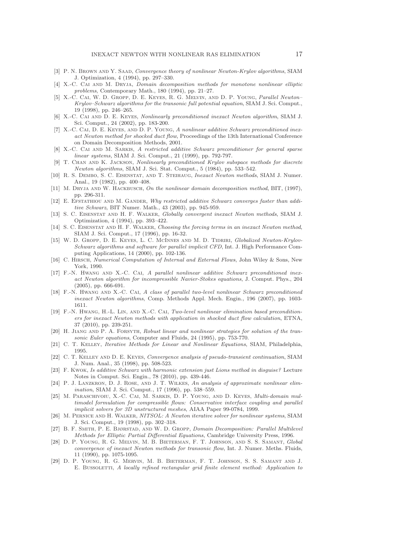- [3] P. N. Brown and Y. Saad, *Convergence theory of nonlinear Newton-Krylov algorithms*, SIAM J. Optimization, 4 (1994), pp. 297–330.
- [4] X.-C. Cai and M. Dryja, *Domain decomposition methods for monotone nonlinear elliptic problems*, Contemporary Math., 180 (1994), pp. 21–27.
- [5] X.-C. Cai, W. D. Gropp, D. E. Keyes, R. G. Melvin, and D. P. Young, *Parallel Newton– Krylov–Schwarz algorithms for the transonic full potential equation*, SIAM J. Sci. Comput., 19 (1998), pp. 246–265.
- [6] X.-C. Cai and D. E. Keyes, *Nonlinearly preconditioned inexact Newton algorithm*, SIAM J. Sci. Comput., 24 (2002), pp. 183-200.
- [7] X.-C. Cai, D. E. Keyes, and D. P. Young, *A nonlinear additive Schwarz preconditioned inexact Newton method for shocked duct flow*, Proceedings of the 13th International Conference on Domain Decomposition Methods, 2001.
- [8] X.-C. Cai and M. Sarkis, *A restricted additive Schwarz preconditioner for general sparse linear systems,* SIAM J. Sci. Comput., 21 (1999), pp. 792-797.
- [9] T. Chan and K. Jackson, *Nonlinearly preconditioned Krylov subspace methods for discrete Newton algorithms*, SIAM J. Sci. Stat. Comput., 5 (1984), pp. 533–542.
- [10] R. S. Dembo, S. C. Eisenstat, and T. Steihaug, *Inexact Newton methods*, SIAM J. Numer. Anal., 19 (1982), pp. 400–408.
- [11] M. Dryja and W. Hackbusch, *On the nonlinear domain decomposition method*, BIT, (1997), pp. 296-311.
- [12] E. EFSTATHIOU AND M. GANDER, *Why restricted additive Schwarz converges faster than additive Schwarz*, BIT Numer. Math., 43 (2003), pp. 945-959.
- [13] S. C. Eisenstat and H. F. Walker, *Globally convergent inexact Newton methods*, SIAM J. Optimization, 4 (1994), pp. 393–422.
- [14] S. C. Eisenstat and H. F. Walker, *Choosing the forcing terms in an inexact Newton method*, SIAM J. Sci. Comput., 17 (1996), pp. 16-32.
- [15] W. D. Gropp, D. E. KEYES, L. C. MCINNES AND M. D. TIDRIRI, *Globalized Newton-Krylov-Schwarz algorithms and software for parallel implicit CFD*, Int. J. High Performance Computing Applications, 14 (2000), pp. 102-136.
- [16] C. Hirsch, *Numerical Computation of Internal and External Flows*, John Wiley & Sons, New York, 1990.
- [17] F.-N. Hwang and X.-C. Cai, *A parallel nonlinear additive Schwarz preconditioned inexact Newton algorithm for incompressible Navier-Stokes equations*, J. Comput. Phys., 204 (2005), pp. 666-691.
- [18] F.-N. Hwang and X.-C. Cai, *A class of parallel two-level nonlinear Schwarz preconditioned inexact Newton algorithms*, Comp. Methods Appl. Mech. Engin., 196 (2007), pp. 1603- 1611.
- [19] F.-N. Hwang, H.-L. Lin, and X.-C. Cai, *Two-level nonlinear elimination based preconditioners for inexact Newton methods with application in shocked duct flow calculation*, ETNA, 37 (2010), pp. 239-251.
- [20] H. JIANG AND P. A. FORSYTH, *Robust linear and nonlinear strategies for solution of the transonic Euler equations*, Computer and Fluids, 24 (1995), pp. 753-770.
- [21] C. T. Kelley, *Iterative Methods for Linear and Nonlinear Equations*, SIAM, Philadelphia, 1995.
- [22] C. T. Kelley and D. E. Keyes, *Convergence analysis of pseudo-transient continuation*, SIAM J. Num. Anal., 35 (1998), pp. 508-523.
- [23] F. Kwok, *Is additive Schwarz with harmonic extension just Lions method in disguise?* Lecture Notes in Comput. Sci. Engin., 78 (2010), pp. 439-446.
- [24] P. J. Lanzkron, D. J. Rose, and J. T. Wilkes, *An analysis of approximate nonlinear elimination*, SIAM J. Sci. Comput., 17 (1996), pp. 538–559.
- [25] M. Paraschivoiu, X.-C. Cai, M. Sarkis, D. P. Young, and D. Keyes, *Multi-domain multimodel formulation for compressible flows: Conservative interface coupling and parallel implicit solvers for 3D unstructured meshes*, AIAA Paper 99-0784, 1999.
- [26] M. Pernice and H. Walker, *NITSOL: A Newton iterative solver for nonlinear systems*, SIAM J. Sci. Comput., 19 (1998), pp. 302–318.
- [27] B. F. Smith, P. E. Bjørstad, and W. D. Gropp, *Domain Decomposition: Parallel Multilevel Methods for Elliptic Partial Differential Equations*, Cambridge University Press, 1996.
- [28] D. P. Young, R. G. Melvin, M. B. Bieterman, F. T. Johnson, and S. S. Samant, *Global convergence of inexact Newton methods for transonic flow*, Int. J. Numer. Meths. Fluids, 11 (1990), pp. 1075-1095.
- [29] D. P. Young, R. G. Mervin, M. B. Bieterman, F. T. Johnson, S. S. Samant and J. E. Bussoletti, *A locally refined rectangular grid finite element method: Application to*